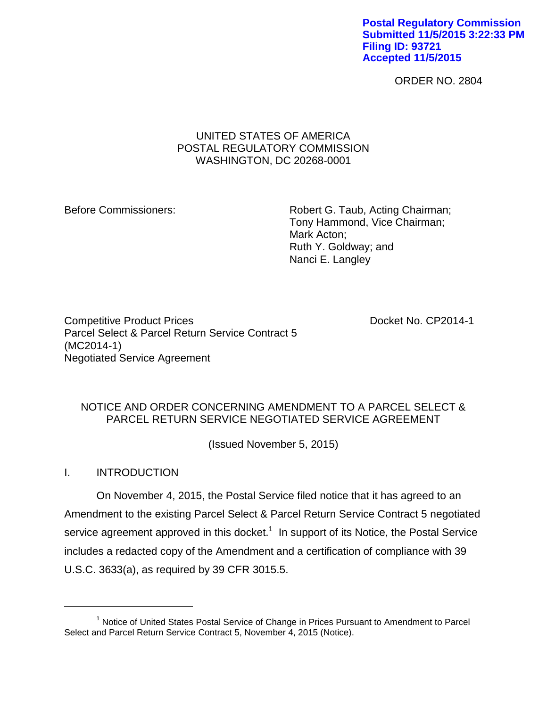**Postal Regulatory Commission Submitted 11/5/2015 3:22:33 PM Filing ID: 93721 Accepted 11/5/2015**

ORDER NO. 2804

### UNITED STATES OF AMERICA POSTAL REGULATORY COMMISSION WASHINGTON, DC 20268-0001

Before Commissioners: Robert G. Taub, Acting Chairman; Tony Hammond, Vice Chairman; Mark Acton; Ruth Y. Goldway; and Nanci E. Langley

Competitive Product Prices **Docket No. CP2014-1** Parcel Select & Parcel Return Service Contract 5 (MC2014-1) Negotiated Service Agreement

# NOTICE AND ORDER CONCERNING AMENDMENT TO A PARCEL SELECT & PARCEL RETURN SERVICE NEGOTIATED SERVICE AGREEMENT

(Issued November 5, 2015)

## I. INTRODUCTION

 $\overline{a}$ 

On November 4, 2015, the Postal Service filed notice that it has agreed to an Amendment to the existing Parcel Select & Parcel Return Service Contract 5 negotiated service agreement approved in this docket.<sup>1</sup> In support of its Notice, the Postal Service includes a redacted copy of the Amendment and a certification of compliance with 39 U.S.C. 3633(a), as required by 39 CFR 3015.5.

<sup>&</sup>lt;sup>1</sup> Notice of United States Postal Service of Change in Prices Pursuant to Amendment to Parcel Select and Parcel Return Service Contract 5, November 4, 2015 (Notice).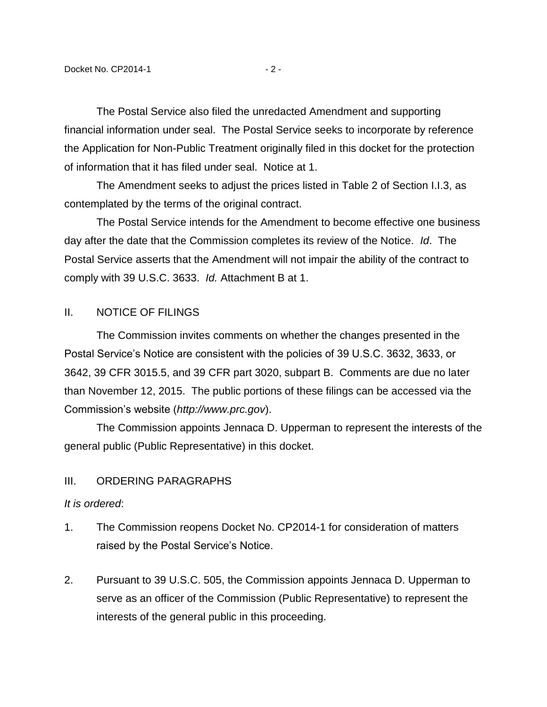The Postal Service also filed the unredacted Amendment and supporting financial information under seal. The Postal Service seeks to incorporate by reference the Application for Non-Public Treatment originally filed in this docket for the protection of information that it has filed under seal. Notice at 1.

The Amendment seeks to adjust the prices listed in Table 2 of Section I.I.3, as contemplated by the terms of the original contract.

The Postal Service intends for the Amendment to become effective one business day after the date that the Commission completes its review of the Notice. *Id*. The Postal Service asserts that the Amendment will not impair the ability of the contract to comply with 39 U.S.C. 3633. *Id.* Attachment B at 1.

### II. NOTICE OF FILINGS

The Commission invites comments on whether the changes presented in the Postal Service's Notice are consistent with the policies of 39 U.S.C. 3632, 3633, or 3642, 39 CFR 3015.5, and 39 CFR part 3020, subpart B. Comments are due no later than November 12, 2015. The public portions of these filings can be accessed via the Commission's website (*http://www.prc.gov*).

The Commission appoints Jennaca D. Upperman to represent the interests of the general public (Public Representative) in this docket.

#### III. ORDERING PARAGRAPHS

#### *It is ordered*:

- 1. The Commission reopens Docket No. CP2014-1 for consideration of matters raised by the Postal Service's Notice.
- 2. Pursuant to 39 U.S.C. 505, the Commission appoints Jennaca D. Upperman to serve as an officer of the Commission (Public Representative) to represent the interests of the general public in this proceeding.